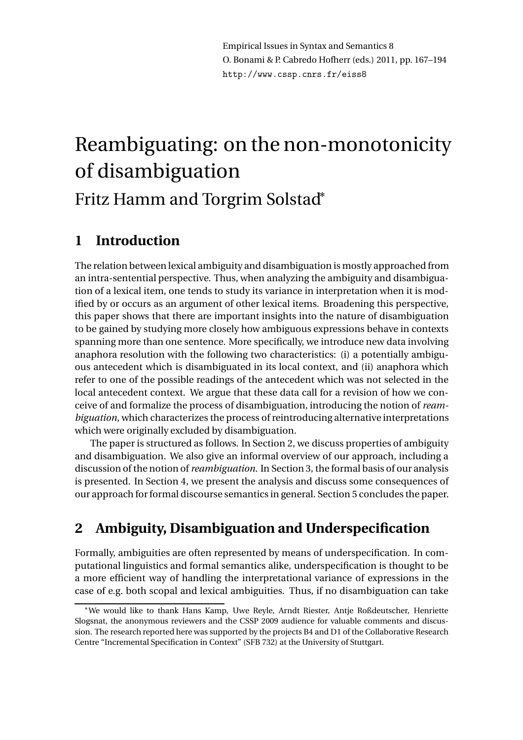# Reambiguating: on the non-monotonicity of disambiguation Fritz Hamm and Torgrim Solstad<sup>∗</sup>

# **1 Introduction**

The relation between lexical ambiguity and disambiguation is mostly approached from an intra-sentential perspective. Thus, when analyzing the ambiguity and disambiguation of a lexical item, one tends to study its variance in interpretation when it is modified by or occurs as an argument of other lexical items. Broadening this perspective, this paper shows that there are important insights into the nature of disambiguation to be gained by studying more closely how ambiguous expressions behave in contexts spanning more than one sentence. More specifically, we introduce new data involving anaphora resolution with the following two characteristics: (i) a potentially ambiguous antecedent which is disambiguated in its local context, and (ii) anaphora which refer to one of the possible readings of the antecedent which was not selected in the local antecedent context. We argue that these data call for a revision of how we conceive of and formalize the process of disambiguation, introducing the notion of *reambiguation*, which characterizes the process of reintroducing alternative interpretations which were originally excluded by disambiguation.

The paper is structured as follows. In Section 2, we discuss properties of ambiguity and disambiguation. We also give an informal overview of our approach, including a discussion of the notion of *reambiguation*. In Section 3, the formal basis of our analysis is presented. In Section 4, we present the analysis and discuss some consequences of our approach for formal discourse semantics in general. Section 5 concludes the paper.

# **2 Ambiguity, Disambiguation and Underspecification**

Formally, ambiguities are often represented by means of underspecification. In computational linguistics and formal semantics alike, underspecification is thought to be a more efficient way of handling the interpretational variance of expressions in the case of e.g. both scopal and lexical ambiguities. Thus, if no disambiguation can take

<sup>∗</sup>We would like to thank Hans Kamp, Uwe Reyle, Arndt Riester, Antje Roßdeutscher, Henriette Slogsnat, the anonymous reviewers and the CSSP 2009 audience for valuable comments and discussion. The research reported here was supported by the projects B4 and D1 of the Collaborative Research Centre "Incremental Specification in Context" (SFB 732) at the University of Stuttgart.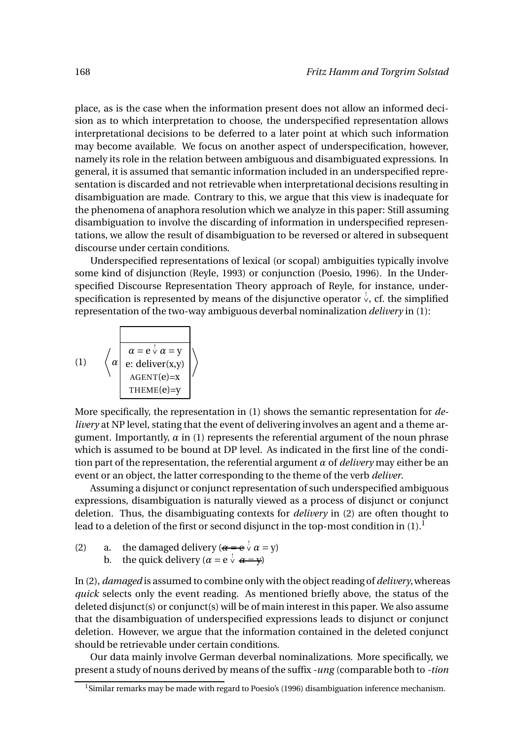place, as is the case when the information present does not allow an informed decision as to which interpretation to choose, the underspecified representation allows interpretational decisions to be deferred to a later point at which such information may become available. We focus on another aspect of underspecification, however, namely its role in the relation between ambiguous and disambiguated expressions. In general, it is assumed that semantic information included in an underspecified representation is discarded and not retrievable when interpretational decisions resulting in disambiguation are made. Contrary to this, we argue that this view is inadequate for the phenomena of anaphora resolution which we analyze in this paper: Still assuming disambiguation to involve the discarding of information in underspecified representations, we allow the result of disambiguation to be reversed or altered in subsequent discourse under certain conditions.

Underspecified representations of lexical (or scopal) ambiguities typically involve some kind of disjunction (Reyle, 1993) or conjunction (Poesio, 1996). In the Underspecified Discourse Representation Theory approach of Reyle, for instance, underspecification is represented by means of the disjunctive operator  $\stackrel{!}{\vee}$ , cf. the simplified representation of the two-way ambiguous deverbal nominalization *delivery* in (1):

(1) 
$$
\left\langle \alpha \left| \begin{array}{c} \alpha = e^{\frac{1}{\sqrt{2}}} \alpha = y \\ e: \text{ deliver}(x,y) \\ \text{AGENT}(e)=x \\ \text{THEME}(e)=y \end{array} \right| \right\rangle
$$

More specifically, the representation in (1) shows the semantic representation for *delivery* at NP level, stating that the event of delivering involves an agent and a theme argument. Importantly,  $\alpha$  in (1) represents the referential argument of the noun phrase which is assumed to be bound at DP level. As indicated in the first line of the condition part of the representation, the referential argument *α* of *delivery* may either be an event or an object, the latter corresponding to the theme of the verb *deliver*.

Assuming a disjunct or conjunct representation of such underspecified ambiguous expressions, disambiguation is naturally viewed as a process of disjunct or conjunct deletion. Thus, the disambiguating contexts for *delivery* in (2) are often thought to lead to a deletion of the first or second disjunct in the top-most condition in  $(1)$ .<sup>1</sup>

- (2) a. the damaged delivery  $(\alpha = e^{\int \alpha} \alpha = y)$ 
	- b. the quick delivery  $(\alpha = e^{\int \alpha} \alpha = y)$

In (2), *damaged* is assumed to combine only with the object reading of *delivery*,whereas *quick* selects only the event reading. As mentioned briefly above, the status of the deleted disjunct(s) or conjunct(s) will be of main interest in this paper. We also assume that the disambiguation of underspecified expressions leads to disjunct or conjunct deletion. However, we argue that the information contained in the deleted conjunct should be retrievable under certain conditions.

Our data mainly involve German deverbal nominalizations. More specifically, we present a study of nouns derived by means of the suffix *-ung* (comparable both to *-tion*

<sup>&</sup>lt;sup>1</sup>Similar remarks may be made with regard to Poesio's (1996) disambiguation inference mechanism.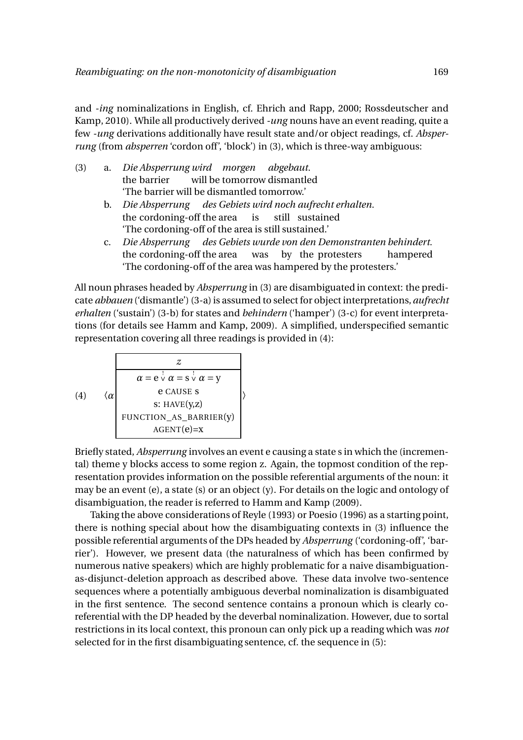and *-ing* nominalizations in English, cf. Ehrich and Rapp, 2000; Rossdeutscher and Kamp, 2010). While all productively derived *-ung* nouns have an event reading, quite a few *-ung* derivations additionally have result state and/or object readings, cf. *Absperrung* (from *absperren* 'cordon off', 'block') in (3), which is three-way ambiguous:

- (3) a. *Die Absperrung wird morgen abgebaut.* the barrier will be tomorrow dismantled 'The barrier will be dismantled tomorrow.'
	- b. *Die Absperrung des Gebiets wird noch aufrecht erhalten.* the cordoning-off the area is still sustained 'The cordoning-off of the area is still sustained.'
	- c. *Die Absperrung des Gebiets wurde von den Demonstranten behindert.* the cordoning-off the area was by the protesters hampered 'The cordoning-off of the area was hampered by the protesters.'

All noun phrases headed by *Absperrung* in (3) are disambiguated in context: the predicate *abbauen* ('dismantle') (3-a) is assumed to select for object interpretations,*aufrecht erhalten* ('sustain') (3-b) for states and *behindern* ('hamper') (3-c) for event interpretations (for details see Hamm and Kamp, 2009). A simplified, underspecified semantic representation covering all three readings is provided in (4):

(4) 
$$
\langle \alpha \rangle
$$
  
\n $\alpha = e^{\frac{1}{\nu}} \alpha = s^{\frac{1}{\nu}} \alpha = y$   
\ne CAUSE s  
\ns: HAVE(y,z)  
\nFUNCTION\_AS\_BARRIER(y)  
\nAGENT(e)=x

Briefly stated, *Absperrung* involves an event e causing a state s in which the (incremental) theme y blocks access to some region z. Again, the topmost condition of the representation provides information on the possible referential arguments of the noun: it may be an event (e), a state (s) or an object (y). For details on the logic and ontology of disambiguation, the reader is referred to Hamm and Kamp (2009).

Taking the above considerations of Reyle (1993) or Poesio (1996) as a starting point, there is nothing special about how the disambiguating contexts in (3) influence the possible referential arguments of the DPs headed by *Absperrung* ('cordoning-off', 'barrier'). However, we present data (the naturalness of which has been confirmed by numerous native speakers) which are highly problematic for a naive disambiguationas-disjunct-deletion approach as described above. These data involve two-sentence sequences where a potentially ambiguous deverbal nominalization is disambiguated in the first sentence. The second sentence contains a pronoun which is clearly coreferential with the DP headed by the deverbal nominalization. However, due to sortal restrictions in its local context, this pronoun can only pick up a reading which was *not* selected for in the first disambiguating sentence, cf. the sequence in (5):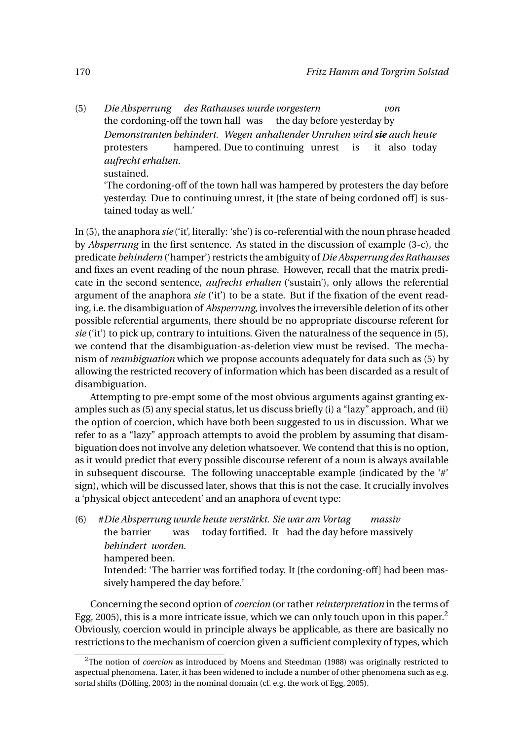(5) *Die Absperrung des Rathauses wurde vorgestern* the cordoning-off the town hall was the day before yesterday by *von Demonstranten behindert. Wegen anhaltender Unruhen wird sie auch heute* protesters hampered. Due to continuing unrest is it also today *aufrecht erhalten.* sustained.

'The cordoning-off of the town hall was hampered by protesters the day before yesterday. Due to continuing unrest, it [the state of being cordoned off] is sustained today as well.'

In (5), the anaphora *sie* ('it', literally: 'she') is co-referential with the noun phrase headed by *Absperrung* in the first sentence. As stated in the discussion of example (3-c), the predicate *behindern* ('hamper') restricts the ambiguity of *Die Absperrung des Rathauses* and fixes an event reading of the noun phrase. However, recall that the matrix predicate in the second sentence, *aufrecht erhalten* ('sustain'), only allows the referential argument of the anaphora *sie* ('it') to be a state. But if the fixation of the event reading, i.e. the disambiguation of *Absperrung*, involves the irreversible deletion of its other possible referential arguments, there should be no appropriate discourse referent for *sie* ('it') to pick up, contrary to intuitions. Given the naturalness of the sequence in (5), we contend that the disambiguation-as-deletion view must be revised. The mechanism of *reambiguation* which we propose accounts adequately for data such as (5) by allowing the restricted recovery of information which has been discarded as a result of disambiguation.

Attempting to pre-empt some of the most obvious arguments against granting examples such as (5) any special status, let us discuss briefly (i) a "lazy" approach, and (ii) the option of coercion, which have both been suggested to us in discussion. What we refer to as a "lazy" approach attempts to avoid the problem by assuming that disambiguation does not involve any deletion whatsoever. We contend that this is no option, as it would predict that every possible discourse referent of a noun is always available in subsequent discourse. The following unacceptable example (indicated by the '#' sign), which will be discussed later, shows that this is not the case. It crucially involves a 'physical object antecedent' and an anaphora of event type:

(6) #*Die Absperrung wurde heute verstärkt. Sie war am Vortag* the barrier was today fortified. It had the day before massively *massiv behindert worden.*

hampered been.

Intended: 'The barrier was fortified today. It [the cordoning-off] had been massively hampered the day before.'

Concerning the second option of *coercion* (or rather *reinterpretation* in the terms of Egg, 2005), this is a more intricate issue, which we can only touch upon in this paper.<sup>2</sup> Obviously, coercion would in principle always be applicable, as there are basically no restrictions to the mechanism of coercion given a sufficient complexity of types, which

<sup>&</sup>lt;sup>2</sup>The notion of *coercion* as introduced by Moens and Steedman (1988) was originally restricted to aspectual phenomena. Later, it has been widened to include a number of other phenomena such as e.g. sortal shifts (Dölling, 2003) in the nominal domain (cf. e.g. the work of Egg, 2005).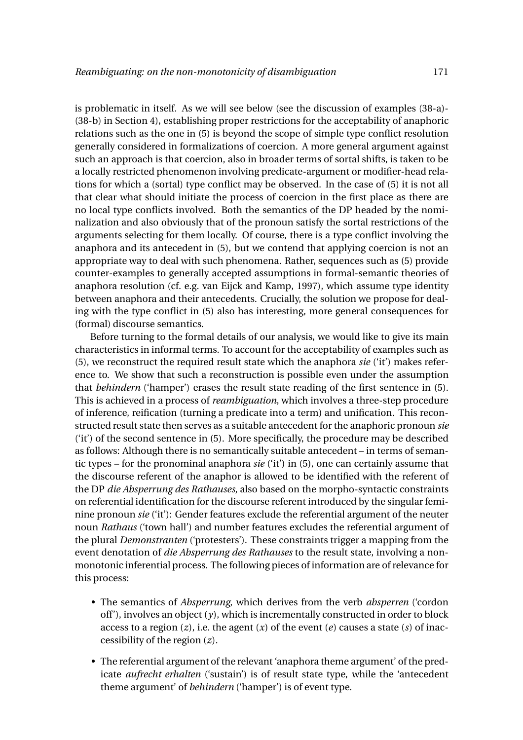is problematic in itself. As we will see below (see the discussion of examples (38-a)- (38-b) in Section 4), establishing proper restrictions for the acceptability of anaphoric relations such as the one in (5) is beyond the scope of simple type conflict resolution generally considered in formalizations of coercion. A more general argument against such an approach is that coercion, also in broader terms of sortal shifts, is taken to be a locally restricted phenomenon involving predicate-argument or modifier-head relations for which a (sortal) type conflict may be observed. In the case of (5) it is not all that clear what should initiate the process of coercion in the first place as there are no local type conflicts involved. Both the semantics of the DP headed by the nominalization and also obviously that of the pronoun satisfy the sortal restrictions of the arguments selecting for them locally. Of course, there is a type conflict involving the anaphora and its antecedent in (5), but we contend that applying coercion is not an appropriate way to deal with such phenomena. Rather, sequences such as (5) provide counter-examples to generally accepted assumptions in formal-semantic theories of anaphora resolution (cf. e.g. van Eijck and Kamp, 1997), which assume type identity between anaphora and their antecedents. Crucially, the solution we propose for dealing with the type conflict in (5) also has interesting, more general consequences for (formal) discourse semantics.

Before turning to the formal details of our analysis, we would like to give its main characteristics in informal terms. To account for the acceptability of examples such as (5), we reconstruct the required result state which the anaphora *sie* ('it') makes reference to. We show that such a reconstruction is possible even under the assumption that *behindern* ('hamper') erases the result state reading of the first sentence in (5). This is achieved in a process of *reambiguation*, which involves a three-step procedure of inference, reification (turning a predicate into a term) and unification. This reconstructed result state then serves as a suitable antecedent for the anaphoric pronoun *sie* ('it') of the second sentence in (5). More specifically, the procedure may be described as follows: Although there is no semantically suitable antecedent – in terms of semantic types – for the pronominal anaphora *sie* ('it') in (5), one can certainly assume that the discourse referent of the anaphor is allowed to be identified with the referent of the DP *die Absperrung des Rathauses*, also based on the morpho-syntactic constraints on referential identification for the discourse referent introduced by the singular feminine pronoun *sie* ('it'): Gender features exclude the referential argument of the neuter noun *Rathaus* ('town hall') and number features excludes the referential argument of the plural *Demonstranten* ('protesters'). These constraints trigger a mapping from the event denotation of *die Absperrung des Rathauses* to the result state, involving a nonmonotonic inferential process. The following pieces of information are of relevance for this process:

- The semantics of *Absperrung*, which derives from the verb *absperren* ('cordon off'), involves an object (*y*), which is incrementally constructed in order to block access to a region (*z*), i.e. the agent (*x*) of the event (*e*) causes a state (*s*) of inaccessibility of the region (*z*).
- The referential argument of the relevant 'anaphora theme argument' of the predicate *aufrecht erhalten* ('sustain') is of result state type, while the 'antecedent theme argument' of *behindern* ('hamper') is of event type.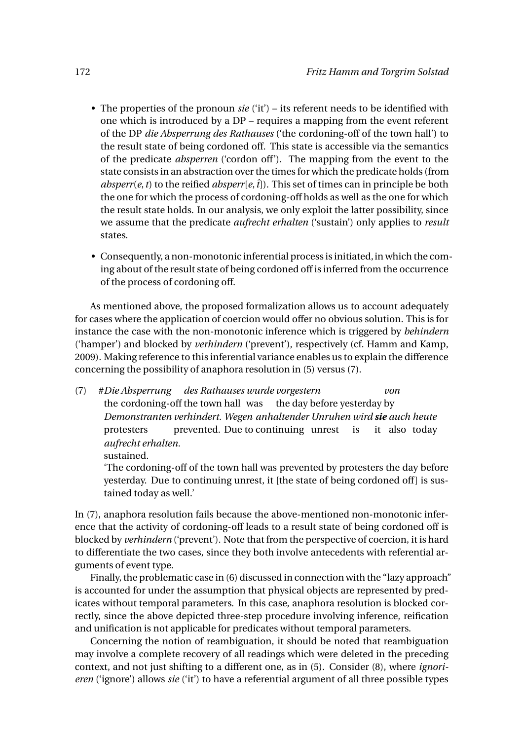- The properties of the pronoun *sie* ('it') its referent needs to be identified with one which is introduced by a DP – requires a mapping from the event referent of the DP *die Absperrung des Rathauses* ('the cordoning-off of the town hall') to the result state of being cordoned off. This state is accessible via the semantics of the predicate *absperren* ('cordon off'). The mapping from the event to the state consists in an abstraction over the times for which the predicate holds (from *absperr*(*e*, *t*) to the reified *absperr*[*e*,  $\hat{t}$ ]). This set of times can in principle be both the one for which the process of cordoning-off holds as well as the one for which the result state holds. In our analysis, we only exploit the latter possibility, since we assume that the predicate *aufrecht erhalten* ('sustain') only applies to *result* states.
- Consequently, a non-monotonic inferential process is initiated,in which the coming about of the result state of being cordoned off is inferred from the occurrence of the process of cordoning off.

As mentioned above, the proposed formalization allows us to account adequately for cases where the application of coercion would offer no obvious solution. This is for instance the case with the non-monotonic inference which is triggered by *behindern* ('hamper') and blocked by *verhindern* ('prevent'), respectively (cf. Hamm and Kamp, 2009). Making reference to this inferential variance enables us to explain the difference concerning the possibility of anaphora resolution in (5) versus (7).

(7) #*Die Absperrung* the cordoning-off the town hall was the day before yesterday by *des Rathauses wurde vorgestern von Demonstranten verhindert. Wegen anhaltender Unruhen wird sie auch heute* protesters prevented. Due to continuing unrest is it also today *aufrecht erhalten.* sustained.

'The cordoning-off of the town hall was prevented by protesters the day before yesterday. Due to continuing unrest, it [the state of being cordoned off] is sustained today as well.'

In (7), anaphora resolution fails because the above-mentioned non-monotonic inference that the activity of cordoning-off leads to a result state of being cordoned off is blocked by *verhindern* ('prevent'). Note that from the perspective of coercion, it is hard to differentiate the two cases, since they both involve antecedents with referential arguments of event type.

Finally, the problematic case in (6) discussed in connection with the "lazy approach" is accounted for under the assumption that physical objects are represented by predicates without temporal parameters. In this case, anaphora resolution is blocked correctly, since the above depicted three-step procedure involving inference, reification and unification is not applicable for predicates without temporal parameters.

Concerning the notion of reambiguation, it should be noted that reambiguation may involve a complete recovery of all readings which were deleted in the preceding context, and not just shifting to a different one, as in (5). Consider (8), where *ignorieren* ('ignore') allows *sie* ('it') to have a referential argument of all three possible types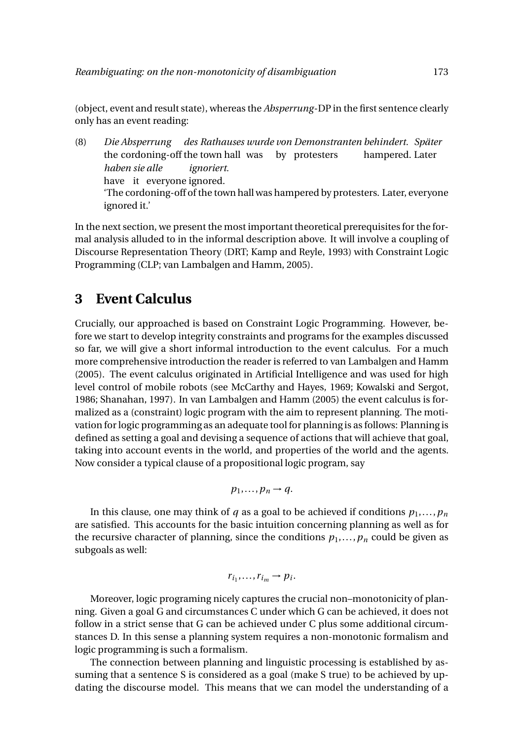(object, event and result state), whereas the *Absperrung*-DP in the first sentence clearly only has an event reading:

(8) *Die Absperrung* the cordoning-off the town hall was by protesters *des Rathauses wurde von Demonstranten behindert. Später* hampered. Later *haben sie alle* have it everyone ignored. *ignoriert.* 'The cordoning-off of the town hall was hampered by protesters. Later, everyone ignored it.'

In the next section, we present the most important theoretical prerequisites for the formal analysis alluded to in the informal description above. It will involve a coupling of Discourse Representation Theory (DRT; Kamp and Reyle, 1993) with Constraint Logic Programming (CLP; van Lambalgen and Hamm, 2005).

# **3 Event Calculus**

Crucially, our approached is based on Constraint Logic Programming. However, before we start to develop integrity constraints and programs for the examples discussed so far, we will give a short informal introduction to the event calculus. For a much more comprehensive introduction the reader is referred to van Lambalgen and Hamm (2005). The event calculus originated in Artificial Intelligence and was used for high level control of mobile robots (see McCarthy and Hayes, 1969; Kowalski and Sergot, 1986; Shanahan, 1997). In van Lambalgen and Hamm (2005) the event calculus is formalized as a (constraint) logic program with the aim to represent planning. The motivation for logic programming as an adequate tool for planning is as follows: Planning is defined as setting a goal and devising a sequence of actions that will achieve that goal, taking into account events in the world, and properties of the world and the agents. Now consider a typical clause of a propositional logic program, say

$$
p_1,\ldots,p_n\to q.
$$

In this clause, one may think of *q* as a goal to be achieved if conditions  $p_1, \ldots, p_n$ are satisfied. This accounts for the basic intuition concerning planning as well as for the recursive character of planning, since the conditions  $p_1, \ldots, p_n$  could be given as subgoals as well:

$$
r_{i_1},\ldots,r_{i_m}\to p_i.
$$

Moreover, logic programing nicely captures the crucial non–monotonicity of planning. Given a goal G and circumstances C under which G can be achieved, it does not follow in a strict sense that G can be achieved under C plus some additional circumstances D. In this sense a planning system requires a non-monotonic formalism and logic programming is such a formalism.

The connection between planning and linguistic processing is established by assuming that a sentence S is considered as a goal (make S true) to be achieved by updating the discourse model. This means that we can model the understanding of a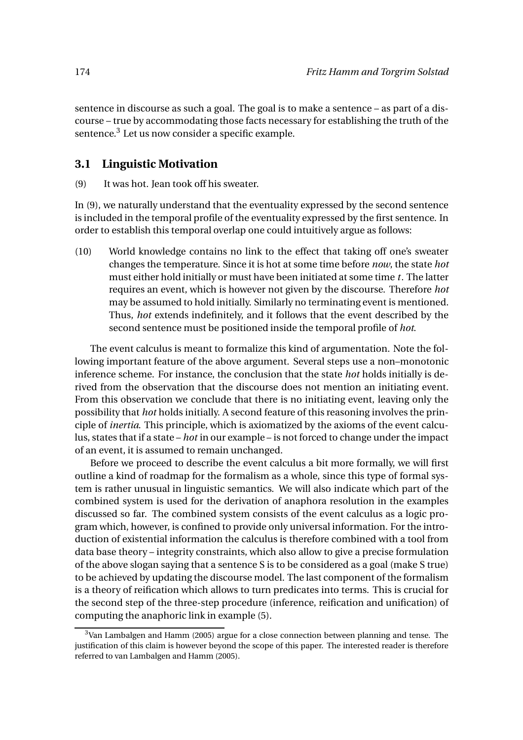sentence in discourse as such a goal. The goal is to make a sentence – as part of a discourse – true by accommodating those facts necessary for establishing the truth of the sentence.<sup>3</sup> Let us now consider a specific example.

### **3.1 Linguistic Motivation**

(9) It was hot. Jean took off his sweater.

In (9), we naturally understand that the eventuality expressed by the second sentence is included in the temporal profile of the eventuality expressed by the first sentence. In order to establish this temporal overlap one could intuitively argue as follows:

(10) World knowledge contains no link to the effect that taking off one's sweater changes the temperature. Since it is hot at some time before *now*, the state *hot* must either hold initially or must have been initiated at some time *t*. The latter requires an event, which is however not given by the discourse. Therefore *hot* may be assumed to hold initially. Similarly no terminating event is mentioned. Thus, *hot* extends indefinitely, and it follows that the event described by the second sentence must be positioned inside the temporal profile of *hot*.

The event calculus is meant to formalize this kind of argumentation. Note the following important feature of the above argument. Several steps use a non–monotonic inference scheme. For instance, the conclusion that the state *hot* holds initially is derived from the observation that the discourse does not mention an initiating event. From this observation we conclude that there is no initiating event, leaving only the possibility that *hot* holds initially. A second feature of this reasoning involves the principle of *inertia*. This principle, which is axiomatized by the axioms of the event calculus, states that if a state – *hot* in our example – is not forced to change under the impact of an event, it is assumed to remain unchanged.

Before we proceed to describe the event calculus a bit more formally, we will first outline a kind of roadmap for the formalism as a whole, since this type of formal system is rather unusual in linguistic semantics. We will also indicate which part of the combined system is used for the derivation of anaphora resolution in the examples discussed so far. The combined system consists of the event calculus as a logic program which, however, is confined to provide only universal information. For the introduction of existential information the calculus is therefore combined with a tool from data base theory – integrity constraints, which also allow to give a precise formulation of the above slogan saying that a sentence S is to be considered as a goal (make S true) to be achieved by updating the discourse model. The last component of the formalism is a theory of reification which allows to turn predicates into terms. This is crucial for the second step of the three-step procedure (inference, reification and unification) of computing the anaphoric link in example (5).

<sup>3</sup>Van Lambalgen and Hamm (2005) argue for a close connection between planning and tense. The justification of this claim is however beyond the scope of this paper. The interested reader is therefore referred to van Lambalgen and Hamm (2005).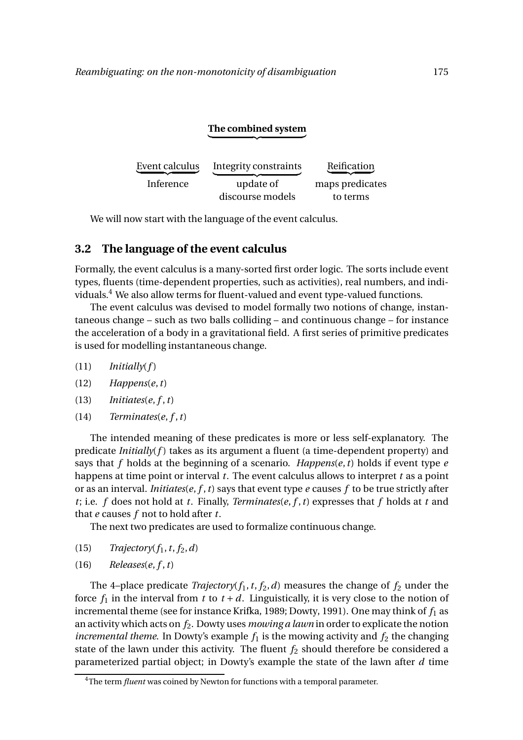#### **The combined system**  $\overbrace{\hspace{2.5cm}}^{x }$

| Event calculus | Integrity constraints | Reification     |
|----------------|-----------------------|-----------------|
| Inference      | update of             | maps predicates |
|                | discourse models      | to terms        |

We will now start with the language of the event calculus.

#### **3.2 The language of the event calculus**

Formally, the event calculus is a many-sorted first order logic. The sorts include event types, fluents (time-dependent properties, such as activities), real numbers, and individuals.<sup>4</sup> We also allow terms for fluent-valued and event type-valued functions.

The event calculus was devised to model formally two notions of change, instantaneous change – such as two balls colliding – and continuous change – for instance the acceleration of a body in a gravitational field. A first series of primitive predicates is used for modelling instantaneous change.

- (11) *Initially*(*f* )
- (12) *Happens*(*e*,*t*)
- $(13)$  *Initiates* $(e, f, t)$
- $(14)$  *Terminates* $(e, f, t)$

The intended meaning of these predicates is more or less self-explanatory. The predicate *Initially(f)* takes as its argument a fluent (a time-dependent property) and says that *f* holds at the beginning of a scenario. *Happens*(*e*,*t*) holds if event type *e* happens at time point or interval *t*. The event calculus allows to interpret *t* as a point or as an interval. *Initiates*(*e*, *f* ,*t*) says that event type *e* causes *f* to be true strictly after *t*; i.e. *f* does not hold at *t*. Finally, *Terminates*(*e*, *f* ,*t*) expresses that *f* holds at *t* and that *e* causes *f* not to hold after *t*.

The next two predicates are used to formalize continuous change.

- $(15)$  *Trajectory* $(f_1, t, f_2, d)$
- $(16)$  *Releases* $(e, f, t)$

The 4-place predicate *Trajectory*( $f_1$ ,  $t$ ,  $f_2$ ,  $d$ ) measures the change of  $f_2$  under the force  $f_1$  in the interval from  $t$  to  $t + d$ . Linguistically, it is very close to the notion of incremental theme (see for instance Krifka, 1989; Dowty, 1991). One may think of  $f_1$  as an activity which acts on *f*2. Dowty uses *mowing a lawn* in order to explicate the notion *incremental theme.* In Dowty's example  $f_1$  is the mowing activity and  $f_2$  the changing state of the lawn under this activity. The fluent  $f_2$  should therefore be considered a parameterized partial object; in Dowty's example the state of the lawn after *d* time

<sup>&</sup>lt;sup>4</sup>The term *fluent* was coined by Newton for functions with a temporal parameter.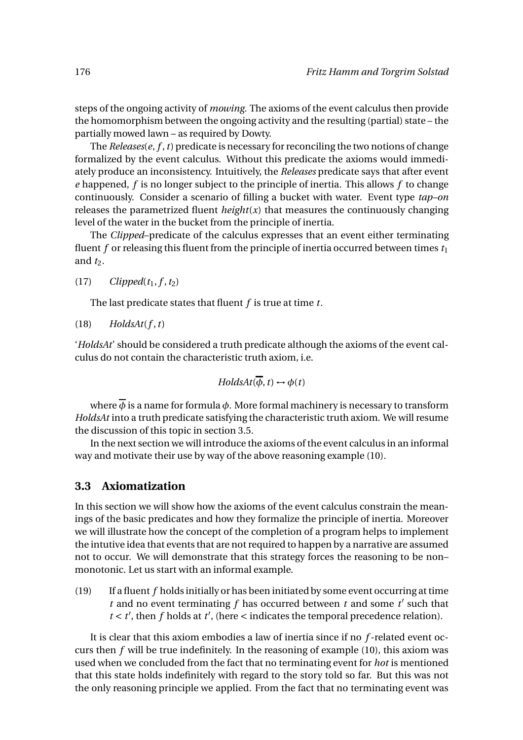steps of the ongoing activity of *mowing*. The axioms of the event calculus then provide the homomorphism between the ongoing activity and the resulting (partial) state – the partially mowed lawn – as required by Dowty.

The *Releases*(*e*, *f* ,*t*) predicate is necessary for reconciling the two notions of change formalized by the event calculus. Without this predicate the axioms would immediately produce an inconsistency. Intuitively, the *Releases* predicate says that after event *e* happened, *f* is no longer subject to the principle of inertia. This allows *f* to change continuously. Consider a scenario of filling a bucket with water. Event type *tap–on* releases the parametrized fluent  $height(x)$  that measures the continuously changing level of the water in the bucket from the principle of inertia.

The *Clipped*–predicate of the calculus expresses that an event either terminating fluent  $f$  or releasing this fluent from the principle of inertia occurred between times  $t_1$ and  $t_2$ .

 $(17)$  *Clipped* $(t_1, f, t_2)$ 

The last predicate states that fluent *f* is true at time *t*.

 $(H8)$  *HoldsAt* $(f, t)$ 

'*HoldsAt*' should be considered a truth predicate although the axioms of the event calculus do not contain the characteristic truth axiom, i.e.

$$
HoldsAt(\overline{\phi},t) \leftrightarrow \phi(t)
$$

where  $\phi$  is a name for formula  $\phi$ . More formal machinery is necessary to transform *HoldsAt* into a truth predicate satisfying the characteristic truth axiom. We will resume the discussion of this topic in section 3.5.

In the next section we will introduce the axioms of the event calculus in an informal way and motivate their use by way of the above reasoning example (10).

#### **3.3 Axiomatization**

In this section we will show how the axioms of the event calculus constrain the meanings of the basic predicates and how they formalize the principle of inertia. Moreover we will illustrate how the concept of the completion of a program helps to implement the intutive idea that events that are not required to happen by a narrative are assumed not to occur. We will demonstrate that this strategy forces the reasoning to be non– monotonic. Let us start with an informal example.

(19) If a fluent *f* holds initially or has been initiated by some event occurring at time  $t$  and no event terminating  $f$  has occurred between  $t$  and some  $t'$  such that  $t < t'$ , then  $f$  holds at  $t'$ , (here  $\lt$  indicates the temporal precedence relation).

It is clear that this axiom embodies a law of inertia since if no *f* -related event occurs then *f* will be true indefinitely. In the reasoning of example (10), this axiom was used when we concluded from the fact that no terminating event for *hot* is mentioned that this state holds indefinitely with regard to the story told so far. But this was not the only reasoning principle we applied. From the fact that no terminating event was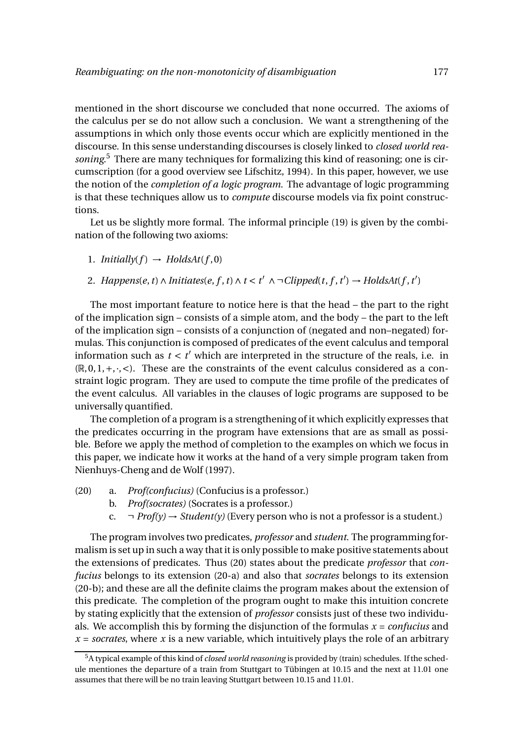mentioned in the short discourse we concluded that none occurred. The axioms of the calculus per se do not allow such a conclusion. We want a strengthening of the assumptions in which only those events occur which are explicitly mentioned in the discourse. In this sense understanding discourses is closely linked to *closed world reasoning*. <sup>5</sup> There are many techniques for formalizing this kind of reasoning; one is circumscription (for a good overview see Lifschitz, 1994). In this paper, however, we use the notion of the *completion of a logic program*. The advantage of logic programming is that these techniques allow us to *compute* discourse models via fix point constructions.

Let us be slightly more formal. The informal principle (19) is given by the combination of the following two axioms:

- 1. *Initially*( $f$ )  $\rightarrow$  *HoldsAt*( $f$ ,0)
- 2. *Happens*(*e*, *t*)  $\land$  *Initiates*(*e*, *f*, *t*)  $\land$  *t* < *t*<sup>'</sup>  $\land \neg$ *Clipped*(*t*, *f*, *t*<sup>'</sup>)  $\rightarrow$  *HoldsAt*(*f*, *t*<sup>'</sup>)

The most important feature to notice here is that the head – the part to the right of the implication sign – consists of a simple atom, and the body – the part to the left of the implication sign – consists of a conjunction of (negated and non–negated) formulas. This conjunction is composed of predicates of the event calculus and temporal information such as  $t < t'$  which are interpreted in the structure of the reals, i.e. in  $(\mathbb{R}, 0, 1, +, \cdot, <)$ . These are the constraints of the event calculus considered as a constraint logic program. They are used to compute the time profile of the predicates of the event calculus. All variables in the clauses of logic programs are supposed to be universally quantified.

The completion of a program is a strengthening of it which explicitly expresses that the predicates occurring in the program have extensions that are as small as possible. Before we apply the method of completion to the examples on which we focus in this paper, we indicate how it works at the hand of a very simple program taken from Nienhuys-Cheng and de Wolf (1997).

- (20) a. *Prof(confucius)* (Confucius is a professor.)
	- b. *Prof(socrates)* (Socrates is a professor.)
	- c.  $\neg$  *Prof(y)*  $\rightarrow$  *Student(y)* (Every person who is not a professor is a student.)

The program involves two predicates, *professor* and *student*. The programming formalism is set up in such a way that it is only possible to make positive statements about the extensions of predicates. Thus (20) states about the predicate *professor* that *confucius* belongs to its extension (20-a) and also that *socrates* belongs to its extension (20-b); and these are all the definite claims the program makes about the extension of this predicate. The completion of the program ought to make this intuition concrete by stating explicitly that the extension of *professor* consists just of these two individuals. We accomplish this by forming the disjunction of the formulas *x* = *confucius* and  $x =$  *socrates*, where *x* is a new variable, which intuitively plays the role of an arbitrary

<sup>5</sup>A typical example of this kind of *closed world reasoning* is provided by (train) schedules. If the schedule mentiones the departure of a train from Stuttgart to Tübingen at 10.15 and the next at 11.01 one assumes that there will be no train leaving Stuttgart between 10.15 and 11.01.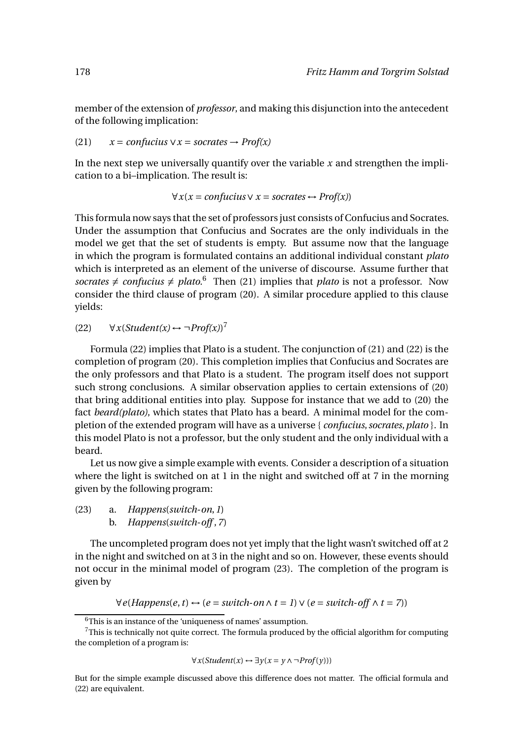member of the extension of *professor*, and making this disjunction into the antecedent of the following implication:

(21) 
$$
x = \text{confucius} \lor x = \text{socrates} \rightarrow \text{Prof}(x)
$$

In the next step we universally quantify over the variable *x* and strengthen the implication to a bi–implication. The result is:

$$
\forall x (x = \text{confucius} \lor x = \text{socrates} \leftrightarrow \text{Prof}(x))
$$

This formula now says that the set of professors just consists of Confucius and Socrates. Under the assumption that Confucius and Socrates are the only individuals in the model we get that the set of students is empty. But assume now that the language in which the program is formulated contains an additional individual constant *plato* which is interpreted as an element of the universe of discourse. Assume further that socrates  $\neq$  *confucius*  $\neq$  *plato*.<sup>6</sup> Then (21) implies that *plato* is not a professor. Now consider the third clause of program (20). A similar procedure applied to this clause yields:

#### (22)  $\forall x (Student(x) \leftrightarrow \neg Prof(x))^7$

Formula (22) implies that Plato is a student. The conjunction of (21) and (22) is the completion of program (20). This completion implies that Confucius and Socrates are the only professors and that Plato is a student. The program itself does not support such strong conclusions. A similar observation applies to certain extensions of (20) that bring additional entities into play. Suppose for instance that we add to (20) the fact *beard(plato)*, which states that Plato has a beard. A minimal model for the completion of the extended program will have as a universe { *confucius*,*socrates*,*plato* }. In this model Plato is not a professor, but the only student and the only individual with a beard.

Let us now give a simple example with events. Consider a description of a situation where the light is switched on at 1 in the night and switched off at 7 in the morning given by the following program:

(23) a. *Happens*(*switch*-*on*,*1*) b. *Happens*(*switch*-*off* ,*7*)

The uncompleted program does not yet imply that the light wasn't switched off at 2 in the night and switched on at 3 in the night and so on. However, these events should not occur in the minimal model of program (23). The completion of the program is given by

∀*e*(*Happens*(*e*,*t*) ↔ (*e* = *switch*-*on*∧ *t* = *1*)∨(*e* = *switch*-*off* ∧ *t* = *7*))

∀*x*(*Student*(*x*) ↔ ∃*y*(*x* = *y* ∧ ¬*Prof*(*y*)))

But for the simple example discussed above this difference does not matter. The official formula and (22) are equivalent.

<sup>6</sup>This is an instance of the 'uniqueness of names' assumption.

 $7$ This is technically not quite correct. The formula produced by the official algorithm for computing the completion of a program is: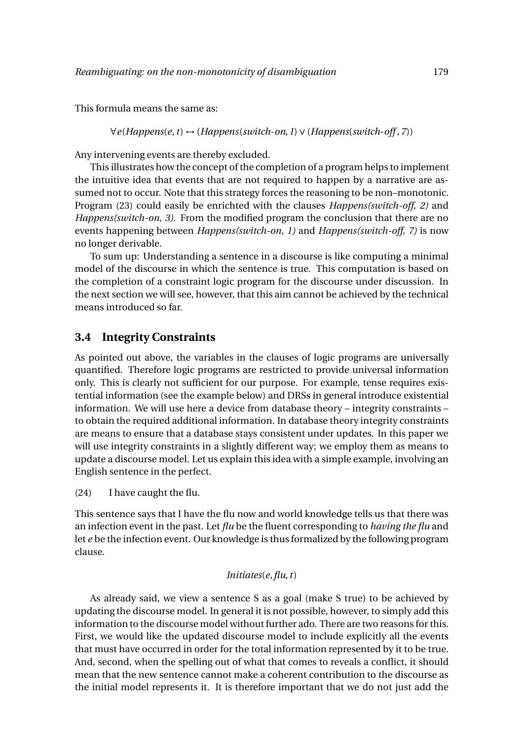This formula means the same as:

∀*e*(*Happens*(*e*,*t*) ↔ (*Happens*(*switch*-*on*,*1*)∨(*Happens*(*switch*-*off* ,*7*))

Any intervening events are thereby excluded.

This illustrates how the concept of the completion of a program helps to implement the intuitive idea that events that are not required to happen by a narrative are assumed not to occur. Note that this strategy forces the reasoning to be non–monotonic. Program (23) could easily be enrichted with the clauses *Happens(switch-off, 2)* and *Happens(switch-on, 3)*. From the modified program the conclusion that there are no events happening between *Happens(switch-on, 1)* and *Happens(switch-off, 7)* is now no longer derivable.

To sum up: Understanding a sentence in a discourse is like computing a minimal model of the discourse in which the sentence is true. This computation is based on the completion of a constraint logic program for the discourse under discussion. In the next section we will see, however, that this aim cannot be achieved by the technical means introduced so far.

### **3.4 Integrity Constraints**

As pointed out above, the variables in the clauses of logic programs are universally quantified. Therefore logic programs are restricted to provide universal information only. This is clearly not sufficient for our purpose. For example, tense requires existential information (see the example below) and DRSs in general introduce existential information. We will use here a device from database theory – integrity constraints – to obtain the required additional information. In database theory integrity constraints are means to ensure that a database stays consistent under updates. In this paper we will use integrity constraints in a slightly different way; we employ them as means to update a discourse model. Let us explain this idea with a simple example, involving an English sentence in the perfect.

(24) I have caught the flu.

This sentence says that I have the flu now and world knowledge tells us that there was an infection event in the past. Let *flu* be the fluent corresponding to *having the flu* and let *e* be the infection event. Our knowledge is thus formalized by the following program clause.

#### *Initiates*(*e*,*flu*,*t*)

As already said, we view a sentence S as a goal (make S true) to be achieved by updating the discourse model. In general it is not possible, however, to simply add this information to the discourse model without further ado. There are two reasons for this. First, we would like the updated discourse model to include explicitly all the events that must have occurred in order for the total information represented by it to be true. And, second, when the spelling out of what that comes to reveals a conflict, it should mean that the new sentence cannot make a coherent contribution to the discourse as the initial model represents it. It is therefore important that we do not just add the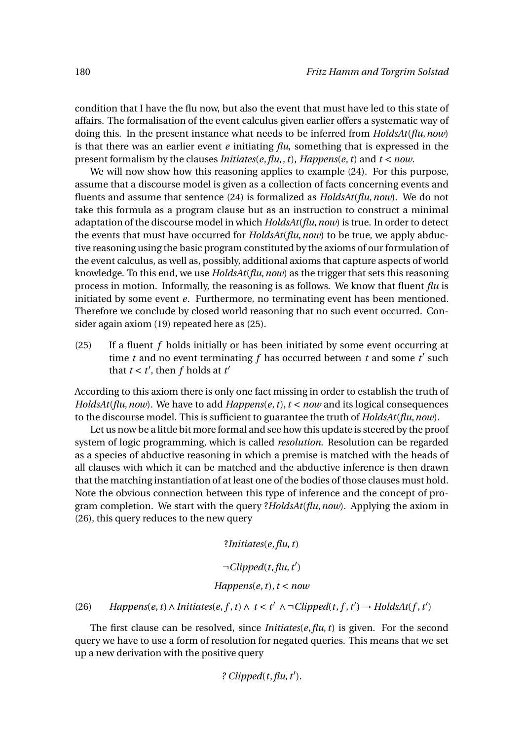condition that I have the flu now, but also the event that must have led to this state of affairs. The formalisation of the event calculus given earlier offers a systematic way of doing this. In the present instance what needs to be inferred from *HoldsAt*(*flu*,*now*) is that there was an earlier event *e* initiating *flu*, something that is expressed in the present formalism by the clauses *Initiates*(*e*,*flu*,,*t*), *Happens*(*e*,*t*) and *t* < *now*.

We will now show how this reasoning applies to example (24). For this purpose, assume that a discourse model is given as a collection of facts concerning events and fluents and assume that sentence (24) is formalized as *HoldsAt*(*flu*,*now*). We do not take this formula as a program clause but as an instruction to construct a minimal adaptation of the discourse model in which *HoldsAt*(*flu*,*now*) is true. In order to detect the events that must have occurred for *HoldsAt*(*flu*,*now*) to be true, we apply abductive reasoning using the basic program constituted by the axioms of our formulation of the event calculus, as well as, possibly, additional axioms that capture aspects of world knowledge. To this end, we use *HoldsAt*(*flu*,*now*) as the trigger that sets this reasoning process in motion. Informally, the reasoning is as follows. We know that fluent *flu* is initiated by some event *e*. Furthermore, no terminating event has been mentioned. Therefore we conclude by closed world reasoning that no such event occurred. Consider again axiom (19) repeated here as (25).

(25) If a fluent *f* holds initially or has been initiated by some event occurring at time  $t$  and no event terminating  $f$  has occurred between  $t$  and some  $t'$  such that  $t < t'$ , then  $f$  holds at  $t'$ 

According to this axiom there is only one fact missing in order to establish the truth of *HoldsAt*(*flu*,*now*). We have to add *Happens*(*e*,*t*),*t* < *now* and its logical consequences to the discourse model. This is sufficient to guarantee the truth of *HoldsAt*(*flu*,*now*).

Let us now be a little bit more formal and see how this update is steered by the proof system of logic programming, which is called *resolution*. Resolution can be regarded as a species of abductive reasoning in which a premise is matched with the heads of all clauses with which it can be matched and the abductive inference is then drawn that the matching instantiation of at least one of the bodies of those clauses must hold. Note the obvious connection between this type of inference and the concept of program completion. We start with the query ?*HoldsAt*(*flu*,*now*). Applying the axiom in (26), this query reduces to the new query

?*Initiates*(*e*,*flu*,*t*)

# ¬*Clipped*(*t*,*flu*,*t* ′ )

#### *Happens* $(e, t)$ ,  $t < now$

(26) *Happens*(*e*, *t*)∧ *Initiates*(*e*, *f*, *t*)∧ *t* < *t'* ∧ ¬ *Clipped*(*t*, *f*, *t'*) → *HoldsAt*(*f*, *t'*)

The first clause can be resolved, since *Initiates*(*e*,*flu*,*t*) is given. For the second query we have to use a form of resolution for negated queries. This means that we set up a new derivation with the positive query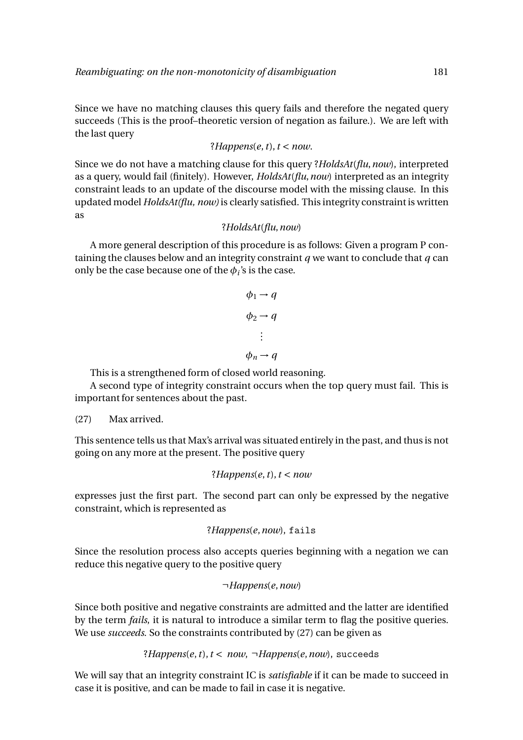Since we have no matching clauses this query fails and therefore the negated query succeeds (This is the proof–theoretic version of negation as failure.). We are left with the last query

?*Happens* $(e, t)$ ,  $t < now$ .

Since we do not have a matching clause for this query ?*HoldsAt*(*flu*,*now*), interpreted as a query, would fail (finitely). However, *HoldsAt*(*flu*,*now*) interpreted as an integrity constraint leads to an update of the discourse model with the missing clause. In this updated model *HoldsAt(flu, now)* is clearly satisfied. This integrity constraint is written as

#### ?*HoldsAt*(*flu*,*now*)

A more general description of this procedure is as follows: Given a program P containing the clauses below and an integrity constraint *q* we want to conclude that *q* can only be the case because one of the  $\phi_i$ 's is the case.

$$
\phi_1 \rightarrow q
$$

$$
\phi_2 \rightarrow q
$$

$$
\vdots
$$

$$
\phi_n \rightarrow q
$$

This is a strengthened form of closed world reasoning.

A second type of integrity constraint occurs when the top query must fail. This is important for sentences about the past.

#### (27) Max arrived.

This sentence tells us that Max's arrival was situated entirely in the past, and thus is not going on any more at the present. The positive query

#### ?*Happens*(*e*,*t*),*t* < *now*

expresses just the first part. The second part can only be expressed by the negative constraint, which is represented as

```
?Happens(e,now), fails
```
Since the resolution process also accepts queries beginning with a negation we can reduce this negative query to the positive query

#### ¬*Happens*(*e*,*now*)

Since both positive and negative constraints are admitted and the latter are identified by the term *fails*, it is natural to introduce a similar term to flag the positive queries. We use *succeeds*. So the constraints contributed by (27) can be given as

#### ?*Happens*(*e*,*t*),*t* < *now*, ¬*Happens*(*e*,*now*), succeeds

We will say that an integrity constraint IC is *satisfiable* if it can be made to succeed in case it is positive, and can be made to fail in case it is negative.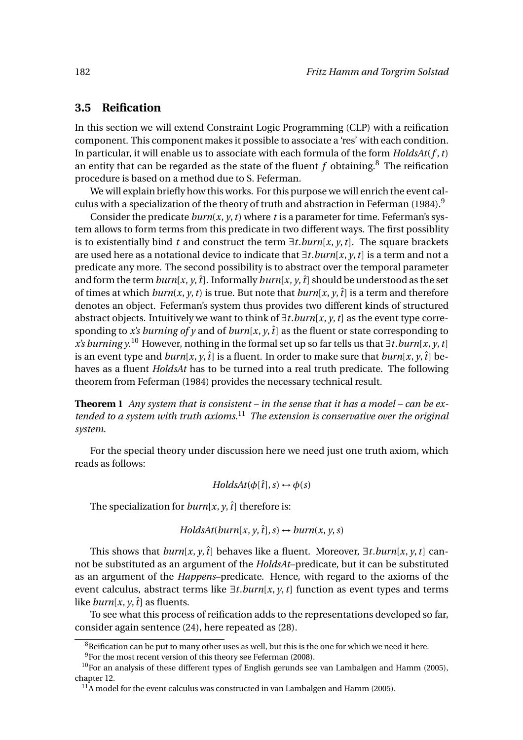# **3.5 Reification**

In this section we will extend Constraint Logic Programming (CLP) with a reification component. This component makes it possible to associate a 'res' with each condition. In particular, it will enable us to associate with each formula of the form *HoldsAt*(*f* ,*t*) an entity that can be regarded as the state of the fluent  $f$  obtaining.<sup>8</sup> The reification procedure is based on a method due to S. Feferman.

We will explain briefly how this works. For this purpose we will enrich the event calculus with a specialization of the theory of truth and abstraction in Feferman (1984).<sup>9</sup>

Consider the predicate  $burn(x, y, t)$  where t is a parameter for time. Feferman's system allows to form terms from this predicate in two different ways. The first possiblity is to existentially bind *t* and construct the term  $\exists t.burn[x, y, t]$ . The square brackets are used here as a notational device to indicate that ∃*t*.*burn*[*x*, *y*,*t*] is a term and not a predicate any more. The second possibility is to abstract over the temporal parameter and form the term  $burn[x, y, t]$ . Informally  $burn[x, y, t]$  should be understood as the set of times at which  $burn(x, y, t)$  is true. But note that  $burn(x, y, t)$  is a term and therefore denotes an object. Feferman's system thus provides two different kinds of structured abstract objects. Intuitively we want to think of ∃*t*.*burn*[*x*, *y*,*t*] as the event type corresponding to *x's burning of y* and of *burn*[*x*, *y*,  $\hat{t}$ ] as the fluent or state corresponding to *x's burning y*. <sup>10</sup> However, nothing in the formal set up so far tells us that ∃*t*.*burn*[*x*, *y*,*t*] is an event type and  $burn[x, y, t]$  is a fluent. In order to make sure that  $burn[x, y, t]$  behaves as a fluent *HoldsAt* has to be turned into a real truth predicate. The following theorem from Feferman (1984) provides the necessary technical result.

**Theorem 1** *Any system that is consistent – in the sense that it has a model – can be extended to a system with truth axioms.*<sup>11</sup> *The extension is conservative over the original system.*

For the special theory under discussion here we need just one truth axiom, which reads as follows:

#### *HoldsAt*( $\phi$ [ $\hat{t}$ ],  $s$ )  $\leftrightarrow$   $\phi$ ( $s$ )

The specialization for  $burn[x, y, t]$  therefore is:

$$
HoldsAt(burn[x, y, \hat{t}], s) \leftrightarrow burn(x, y, s)
$$

This shows that  $burn[x, y, t]$  behaves like a fluent. Moreover,  $\exists t. burn[x, y, t]$  cannot be substituted as an argument of the *HoldsAt*–predicate, but it can be substituted as an argument of the *Happens*–predicate. Hence, with regard to the axioms of the event calculus, abstract terms like ∃*t*.*burn*[*x*, *y*,*t*] function as event types and terms like *burn*[ $x$ ,  $y$ ,  $\hat{t}$ ] as fluents.

To see what this process of reification adds to the representations developed so far, consider again sentence (24), here repeated as (28).

 $8R$ eification can be put to many other uses as well, but this is the one for which we need it here.

 $9$ For the most recent version of this theory see Feferman (2008).

 $10$ For an analysis of these different types of English gerunds see van Lambalgen and Hamm (2005), chapter 12.

 $11$ A model for the event calculus was constructed in van Lambalgen and Hamm (2005).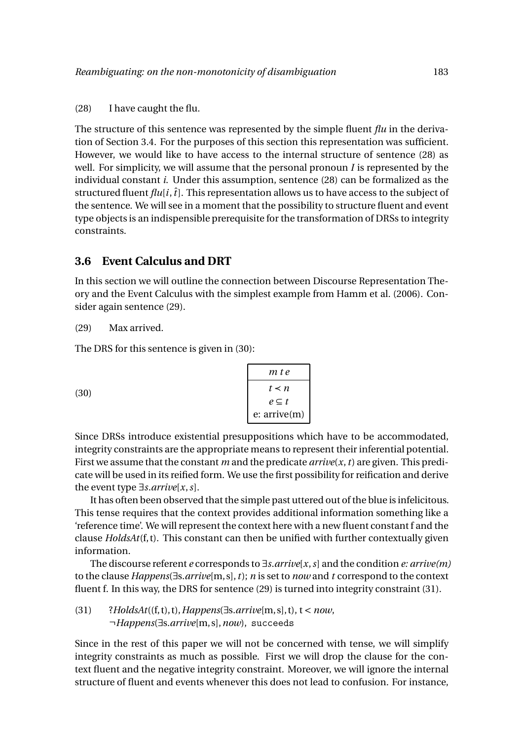The structure of this sentence was represented by the simple fluent *flu* in the derivation of Section 3.4. For the purposes of this section this representation was sufficient. However, we would like to have access to the internal structure of sentence (28) as well. For simplicity, we will assume that the personal pronoun *I* is represented by the individual constant *i*. Under this assumption, sentence (28) can be formalized as the structured fluent  $flu[i, \hat{i}]$ . This representation allows us to have access to the subject of the sentence. We will see in a moment that the possibility to structure fluent and event type objects is an indispensible prerequisite for the transformation of DRSs to integrity constraints.

# **3.6 Event Calculus and DRT**

In this section we will outline the connection between Discourse Representation Theory and the Event Calculus with the simplest example from Hamm et al. (2006). Consider again sentence (29).

#### (29) Max arrived.

The DRS for this sentence is given in (30):

|      | m t e             |
|------|-------------------|
| (30) | $t \leq n$        |
|      | $e \subseteq t$   |
|      | $e:$ arrive $(m)$ |

Since DRSs introduce existential presuppositions which have to be accommodated, integrity constraints are the appropriate means to represent their inferential potential. First we assume that the constant *m* and the predicate *arrive*(*x*,*t*) are given. This predicate will be used in its reified form. We use the first possibility for reification and derive the event type ∃*s*.*arrive*[*x*,*s*].

It has often been observed that the simple past uttered out of the blue is infelicitous. This tense requires that the context provides additional information something like a 'reference time'. We will represent the context here with a new fluent constant f and the clause *HoldsAt*(f, t). This constant can then be unified with further contextually given information.

The discourse referent *e* corresponds to ∃*s*.*arrive*[*x*,*s*] and the condition *e: arrive(m)* to the clause *Happens*(∃s.*arrive*[m,s],*t*); *n* is set to *now* and *t* correspond to the context fluent f. In this way, the DRS for sentence (29) is turned into integrity constraint (31).

(31) ?*HoldsAt*((f, t), t),*Happens*(∃s.*arrive*[m,s], t), t < *now*, ¬*Happens*(∃s.*arrive*[m,s],*now*), succeeds

Since in the rest of this paper we will not be concerned with tense, we will simplify integrity constraints as much as possible. First we will drop the clause for the context fluent and the negative integrity constraint. Moreover, we will ignore the internal structure of fluent and events whenever this does not lead to confusion. For instance,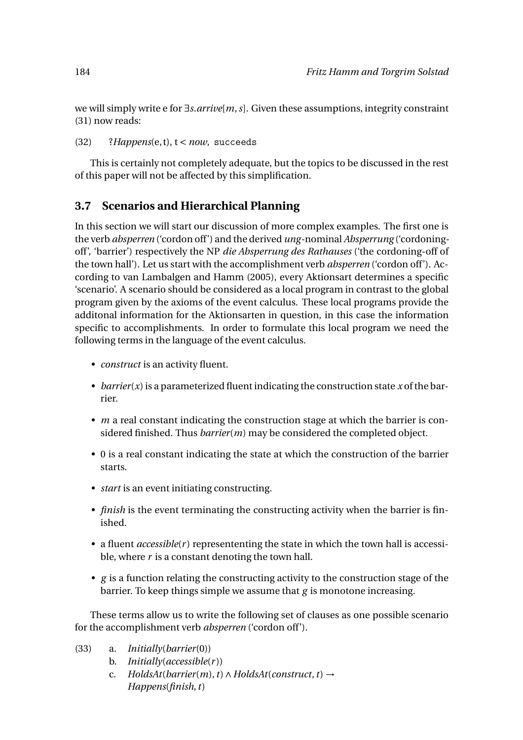we will simply write e for ∃*s*.*arrive*[*m*,*s*]. Given these assumptions, integrity constraint (31) now reads:

#### (32) ?*Happens*(e, t), t < *now*, succeeds

This is certainly not completely adequate, but the topics to be discussed in the rest of this paper will not be affected by this simplification.

# **3.7 Scenarios and Hierarchical Planning**

In this section we will start our discussion of more complex examples. The first one is the verb *absperren* ('cordon off') and the derived *ung*-nominal *Absperrung* ('cordoningoff', 'barrier') respectively the NP *die Absperrung des Rathauses* ('the cordoning-off of the town hall'). Let us start with the accomplishment verb *absperren* ('cordon off'). According to van Lambalgen and Hamm (2005), every Aktionsart determines a specific 'scenario'. A scenario should be considered as a local program in contrast to the global program given by the axioms of the event calculus. These local programs provide the additonal information for the Aktionsarten in question, in this case the information specific to accomplishments. In order to formulate this local program we need the following terms in the language of the event calculus.

- *construct* is an activity fluent.
- *barrier*(*x*) is a parameterized fluent indicating the construction state *x* of the barrier.
- *m* a real constant indicating the construction stage at which the barrier is considered finished. Thus *barrier*(*m*) may be considered the completed object.
- 0 is a real constant indicating the state at which the construction of the barrier starts.
- *start* is an event initiating constructing.
- *finish* is the event terminating the constructing activity when the barrier is finished.
- a fluent *accessible*(*r*) represententing the state in which the town hall is accessible, where *r* is a constant denoting the town hall.
- *g* is a function relating the constructing activity to the construction stage of the barrier. To keep things simple we assume that *g* is monotone increasing.

These terms allow us to write the following set of clauses as one possible scenario for the accomplishment verb *absperren* ('cordon off').

- (33) a. *Initially*(*barrier*(0))
	- b. *Initially*(*accessible*(*r* ))
	- c. *HoldsAt*(*barrier*(*m*),*t*)∧*HoldsAt*(*construct*,*t*) → *Happens*(*finish*,*t*)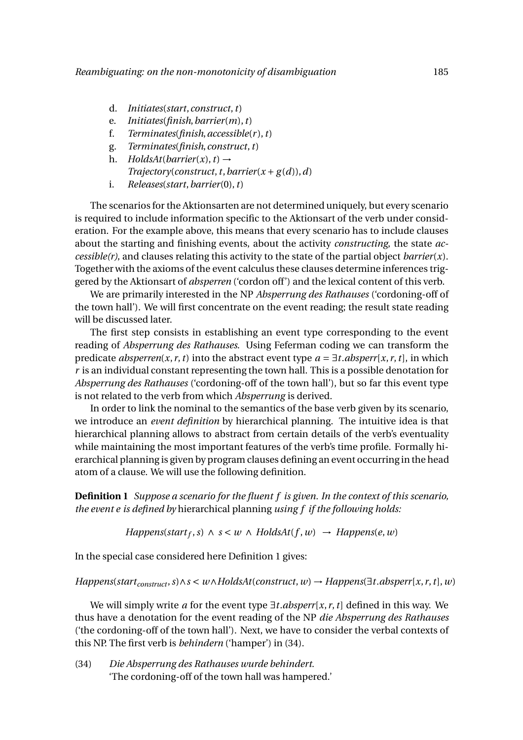- d. *Initiates*(*start*,*construct*,*t*)
- e. *Initiates*(*finish*,*barrier*(*m*),*t*)
- f. *Terminates*(*finish*,*accessible*(*r* ),*t*)
- g. *Terminates*(*finish*,*construct*,*t*)
- h. *HoldsAt*(*barrier*(*x*), *t*)  $\rightarrow$  $Trajectory(construct, t, barrier(x + g(d)), d)$
- i. *Releases*(*start*,*barrier*(0),*t*)

The scenarios for the Aktionsarten are not determined uniquely, but every scenario is required to include information specific to the Aktionsart of the verb under consideration. For the example above, this means that every scenario has to include clauses about the starting and finishing events, about the activity *constructing*, the state *accessible(r)*, and clauses relating this activity to the state of the partial object *barrier*(*x*). Together with the axioms of the event calculus these clauses determine inferences triggered by the Aktionsart of *absperren* ('cordon off') and the lexical content of this verb.

We are primarily interested in the NP *Absperrung des Rathauses* ('cordoning-off of the town hall'). We will first concentrate on the event reading; the result state reading will be discussed later.

The first step consists in establishing an event type corresponding to the event reading of *Absperrung des Rathauses*. Using Feferman coding we can transform the predicate *absperren*(*x*, *r*, *t*) into the abstract event type  $a = \exists t \cdot absperr[x, r, t]$ , in which *r* is an individual constant representing the town hall. This is a possible denotation for *Absperrung des Rathauses* ('cordoning-off of the town hall'), but so far this event type is not related to the verb from which *Absperrung* is derived.

In order to link the nominal to the semantics of the base verb given by its scenario, we introduce an *event definition* by hierarchical planning. The intuitive idea is that hierarchical planning allows to abstract from certain details of the verb's eventuality while maintaining the most important features of the verb's time profile. Formally hierarchical planning is given by program clauses defining an event occurring in the head atom of a clause. We will use the following definition.

**Definition 1** *Suppose a scenario for the fluent f is given. In the context of this scenario, the event e is defined by* hierarchical planning *using f if the following holds:*

 $Happens(start_f, s) \wedge s < w \wedge HoldsAt(f, w) \rightarrow Happens(e, w)$ 

In the special case considered here Definition 1 gives:

*Happens*( $start_{construct}, s) ∧ s < w ∧ HoldsAt(construct, w) → Happens(∃t.absperr[x, r, t], w)$ 

We will simply write *a* for the event type ∃*t*.*absperr*[*x*, *r*,*t*] defined in this way. We thus have a denotation for the event reading of the NP *die Absperrung des Rathauses* ('the cordoning-off of the town hall'). Next, we have to consider the verbal contexts of this NP. The first verb is *behindern* ('hamper') in (34).

(34) *Die Absperrung des Rathauses wurde behindert.* 'The cordoning-off of the town hall was hampered.'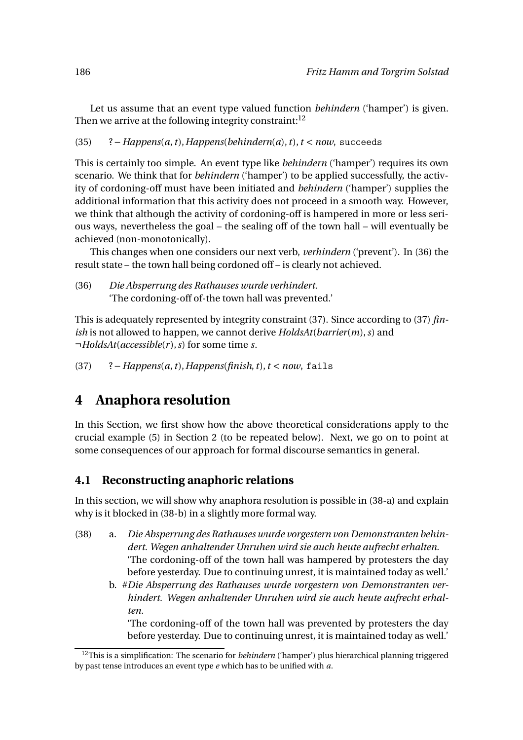Let us assume that an event type valued function *behindern* ('hamper') is given. Then we arrive at the following integrity constraint: $12$ 

(35) ?−*Happens*(*a*,*t*),*Happens*(*behindern*(*a*),*t*),*t* < *now*, succeeds

This is certainly too simple. An event type like *behindern* ('hamper') requires its own scenario. We think that for *behindern* ('hamper') to be applied successfully, the activity of cordoning-off must have been initiated and *behindern* ('hamper') supplies the additional information that this activity does not proceed in a smooth way. However, we think that although the activity of cordoning-off is hampered in more or less serious ways, nevertheless the goal – the sealing off of the town hall – will eventually be achieved (non-monotonically).

This changes when one considers our next verb, *verhindern* ('prevent'). In (36) the result state – the town hall being cordoned off – is clearly not achieved.

(36) *Die Absperrung des Rathauses wurde verhindert.* 'The cordoning-off of-the town hall was prevented.'

This is adequately represented by integrity constraint (37). Since according to (37) *finish* is not allowed to happen, we cannot derive *HoldsAt*(*barrier*(*m*),*s*) and ¬*HoldsAt*(*accessible*(*r* ),*s*) for some time *s*.

(37) ?−*Happens*(*a*,*t*),*Happens*(*finish*,*t*),*t* < *now*, fails

# **4 Anaphora resolution**

In this Section, we first show how the above theoretical considerations apply to the crucial example (5) in Section 2 (to be repeated below). Next, we go on to point at some consequences of our approach for formal discourse semantics in general.

# **4.1 Reconstructing anaphoric relations**

In this section, we will show why anaphora resolution is possible in (38-a) and explain why is it blocked in (38-b) in a slightly more formal way.

- (38) a. *Die Absperrung des Rathauses wurde vorgestern von Demonstranten behindert. Wegen anhaltender Unruhen wird sie auch heute aufrecht erhalten.* 'The cordoning-off of the town hall was hampered by protesters the day before yesterday. Due to continuing unrest, it is maintained today as well.'
	- b. #*Die Absperrung des Rathauses wurde vorgestern von Demonstranten verhindert. Wegen anhaltender Unruhen wird sie auch heute aufrecht erhalten.*

'The cordoning-off of the town hall was prevented by protesters the day before yesterday. Due to continuing unrest, it is maintained today as well.'

<sup>12</sup>This is a simplification: The scenario for *behindern* ('hamper') plus hierarchical planning triggered by past tense introduces an event type *e* which has to be unified with *a*.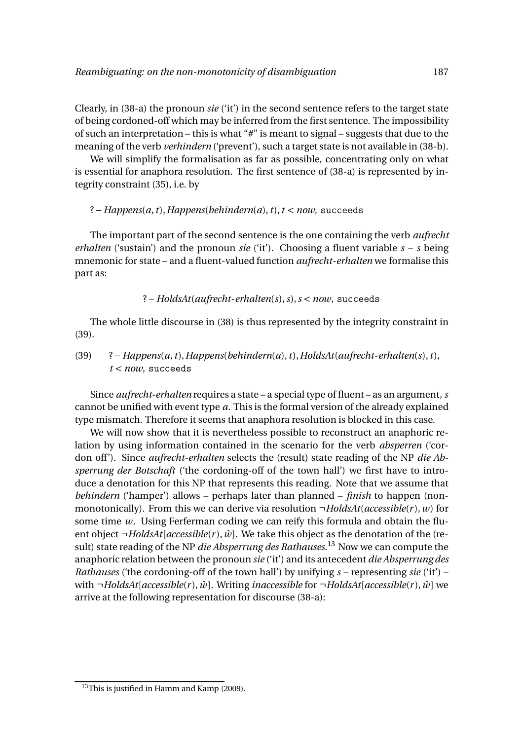Clearly, in (38-a) the pronoun *sie* ('it') in the second sentence refers to the target state of being cordoned-off which may be inferred from the first sentence. The impossibility of such an interpretation – this is what "#" is meant to signal – suggests that due to the meaning of the verb *verhindern* ('prevent'), such a target state is not available in (38-b).

We will simplify the formalisation as far as possible, concentrating only on what is essential for anaphora resolution. The first sentence of (38-a) is represented by integrity constraint (35), i.e. by

#### ?−*Happens*(*a*,*t*),*Happens*(*behindern*(*a*),*t*),*t* < *now*, succeeds

The important part of the second sentence is the one containing the verb *aufrecht erhalten* ('sustain') and the pronoun *sie* ('it'). Choosing a fluent variable *s* – *s* being mnemonic for state – and a fluent-valued function *aufrecht*-*erhalten* we formalise this part as:

#### ?−*HoldsAt*(*aufrecht*-*erhalten*(*s*),*s*),*s* < *now*, succeeds

The whole little discourse in (38) is thus represented by the integrity constraint in (39).

(39) ?−*Happens*(*a*,*t*),*Happens*(*behindern*(*a*),*t*),*HoldsAt*(*aufrecht*-*erhalten*(*s*),*t*), *t* < *now*, succeeds

Since *aufrecht-erhalten* requires a state – a special type of fluent – as an argument, *s* cannot be unified with event type *a*. This is the formal version of the already explained type mismatch. Therefore it seems that anaphora resolution is blocked in this case.

We will now show that it is nevertheless possible to reconstruct an anaphoric relation by using information contained in the scenario for the verb *absperren* ('cordon off'). Since *aufrecht-erhalten* selects the (result) state reading of the NP *die Absperrung der Botschaft* ('the cordoning-off of the town hall') we first have to introduce a denotation for this NP that represents this reading. Note that we assume that *behindern* ('hamper') allows – perhaps later than planned – *finish* to happen (nonmonotonically). From this we can derive via resolution ¬*HoldsAt*(*accessible*(*r* ),*w*) for some time *w*. Using Ferferman coding we can reify this formula and obtain the fluent object  $\neg$ *HoldsAt*[*accessible*(*r*),  $\hat{w}$ ]. We take this object as the denotation of the (result) state reading of the NP *die Absperrung des Rathauses*. <sup>13</sup> Now we can compute the anaphoric relation between the pronoun *sie* ('it') and its antecedent *die Absperrung des Rathauses* ('the cordoning-off of the town hall') by unifying *s* – representing *sie* ('it') – with  $\neg HoldsAt[accessible(r), \hat{w}]$ . Writing *inaccessible* for  $\neg HoldsAt[accessible(r), \hat{w}]$  we arrive at the following representation for discourse (38-a):

 $13$ This is justified in Hamm and Kamp (2009).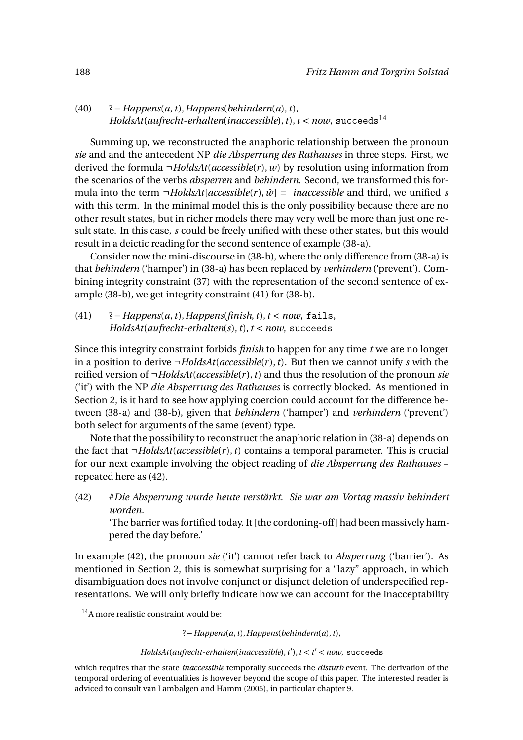(40) ?−*Happens*(*a*,*t*),*Happens*(*behindern*(*a*),*t*), *HoldsAt*(*aufrecht-erhalten*(*inaccessible*),  $t$ ),  $t$  < *now*, succeeds<sup>14</sup>

Summing up, we reconstructed the anaphoric relationship between the pronoun *sie* and and the antecedent NP *die Absperrung des Rathauses* in three steps. First, we derived the formula ¬*HoldsAt*(*accessible*(*r* ),*w*) by resolution using information from the scenarios of the verbs *absperren* and *behindern*. Second, we transformed this formula into the term  $\neg$ *HoldsAt*[*accessible*(*r*),  $\hat{w}$ ] = *inaccessible* and third, we unified *s* with this term. In the minimal model this is the only possibility because there are no other result states, but in richer models there may very well be more than just one result state. In this case, *s* could be freely unified with these other states, but this would result in a deictic reading for the second sentence of example (38-a).

Consider now the mini-discourse in (38-b), where the only difference from (38-a) is that *behindern* ('hamper') in (38-a) has been replaced by *verhindern* ('prevent'). Combining integrity constraint (37) with the representation of the second sentence of example (38-b), we get integrity constraint (41) for (38-b).

(41) ?−*Happens*(*a*,*t*),*Happens*(*finish*,*t*),*t* < *now*, fails, *HoldsAt*(*aufrecht*-*erhalten*(*s*),*t*),*t* < *now*, succeeds

Since this integrity constraint forbids *finish* to happen for any time *t* we are no longer in a position to derive  $\neg$ *HoldsAt*(*accessible*(*r*),*t*). But then we cannot unify *s* with the reified version of ¬*HoldsAt*(*accessible*(*r* ),*t*) and thus the resolution of the pronoun *sie* ('it') with the NP *die Absperrung des Rathauses* is correctly blocked. As mentioned in Section 2, is it hard to see how applying coercion could account for the difference between (38-a) and (38-b), given that *behindern* ('hamper') and *verhindern* ('prevent') both select for arguments of the same (event) type.

Note that the possibility to reconstruct the anaphoric relation in (38-a) depends on the fact that  $\neg$ *HoldsAt*(*accessible*(*r*),*t*) contains a temporal parameter. This is crucial for our next example involving the object reading of *die Absperrung des Rathauses* – repeated here as (42).

(42) #*Die Absperrung wurde heute verstärkt. Sie war am Vortag massiv behindert worden.*

'The barrier was fortified today. It [the cordoning-off] had been massively hampered the day before.'

In example (42), the pronoun *sie* ('it') cannot refer back to *Absperrung* ('barrier'). As mentioned in Section 2, this is somewhat surprising for a "lazy" approach, in which disambiguation does not involve conjunct or disjunct deletion of underspecified representations. We will only briefly indicate how we can account for the inacceptability

 $14A$  more realistic constraint would be:

<sup>?</sup>−*Happens*(*a*,*t*),*Happens*(*behindern*(*a*),*t*),

*HoldsAt*(*aufrecht*-*erhalten*(*inaccessible*),*t* ′ ),*t* < *t* ′ < *now*, succeeds

which requires that the state *inaccessible* temporally succeeds the *disturb* event. The derivation of the temporal ordering of eventualities is however beyond the scope of this paper. The interested reader is adviced to consult van Lambalgen and Hamm (2005), in particular chapter 9.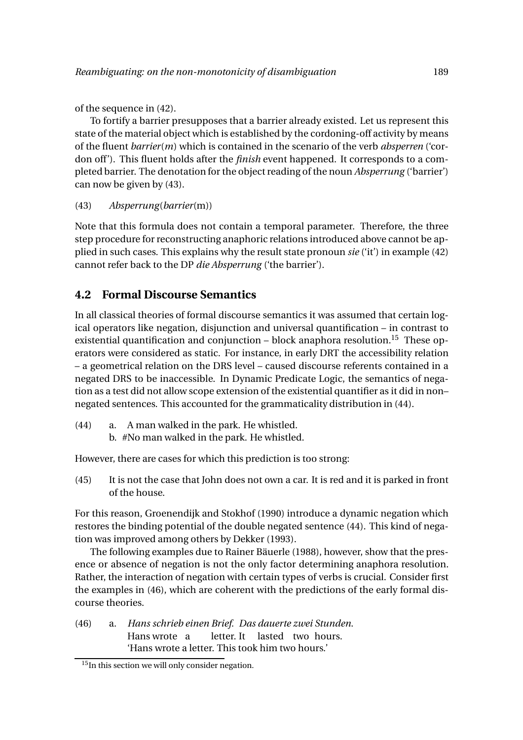of the sequence in (42).

To fortify a barrier presupposes that a barrier already existed. Let us represent this state of the material object which is established by the cordoning-off activity by means of the fluent *barrier*(*m*) which is contained in the scenario of the verb *absperren* ('cordon off'). This fluent holds after the *finish* event happened. It corresponds to a completed barrier. The denotation for the object reading of the noun *Absperrung* ('barrier') can now be given by (43).

(43) *Absperrung*(*barrier*(m))

Note that this formula does not contain a temporal parameter. Therefore, the three step procedure for reconstructing anaphoric relations introduced above cannot be applied in such cases. This explains why the result state pronoun *sie* ('it') in example (42) cannot refer back to the DP *die Absperrung* ('the barrier').

# **4.2 Formal Discourse Semantics**

In all classical theories of formal discourse semantics it was assumed that certain logical operators like negation, disjunction and universal quantification – in contrast to existential quantification and conjunction  $-$  block anaphora resolution.<sup>15</sup> These operators were considered as static. For instance, in early DRT the accessibility relation – a geometrical relation on the DRS level – caused discourse referents contained in a negated DRS to be inaccessible. In Dynamic Predicate Logic, the semantics of negation as a test did not allow scope extension of the existential quantifier as it did in non– negated sentences. This accounted for the grammaticality distribution in (44).

- (44) a. A man walked in the park. He whistled.
	- b. #No man walked in the park. He whistled.

However, there are cases for which this prediction is too strong:

(45) It is not the case that John does not own a car. It is red and it is parked in front of the house.

For this reason, Groenendijk and Stokhof (1990) introduce a dynamic negation which restores the binding potential of the double negated sentence (44). This kind of negation was improved among others by Dekker (1993).

The following examples due to Rainer Bäuerle (1988), however, show that the presence or absence of negation is not the only factor determining anaphora resolution. Rather, the interaction of negation with certain types of verbs is crucial. Consider first the examples in (46), which are coherent with the predictions of the early formal discourse theories.

(46) a. *Hans schrieb einen Brief. Das dauerte zwei Stunden.* Hans wrote a letter. It lasted two hours. 'Hans wrote a letter. This took him two hours.'

 $15$ In this section we will only consider negation.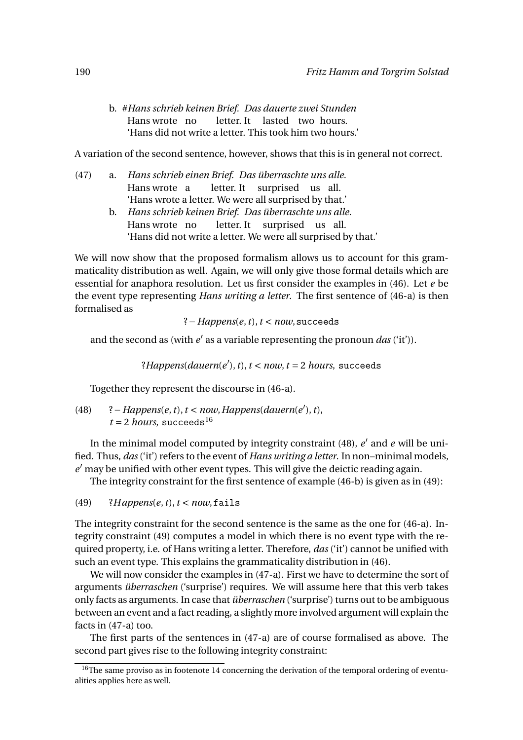b. #*Hans schrieb keinen Brief. Das dauerte zwei Stunden* Hans wrote no letter. It lasted two hours. 'Hans did not write a letter. This took him two hours.'

A variation of the second sentence, however, shows that this is in general not correct.

(47) a. *Hans schrieb einen Brief. Das überraschte uns alle.* Hans wrote a letter. It surprised us all. 'Hans wrote a letter. We were all surprised by that.' b. *Hans schrieb keinen Brief. Das überraschte uns alle.* Hans wrote no letter. It surprised us all. 'Hans did not write a letter. We were all surprised by that.'

We will now show that the proposed formalism allows us to account for this grammaticality distribution as well. Again, we will only give those formal details which are essential for anaphora resolution. Let us first consider the examples in (46). Let *e* be the event type representing *Hans writing a letter*. The first sentence of (46-a) is then formalised as

?−*Happens*(*e*,*t*),*t* < *now*,succeeds

and the second as (with  $e'$  as a variable representing the pronoun *das* ('it')).

?*Happens*(*dauern*(*e* ′ ),*t*),*t* < *now*,*t* = 2 *hours*, succeeds

Together they represent the discourse in (46-a).

(48) ?−*Happens*(*e*,*t*),*t* < *now*,*Happens*(*dauern*(*e* ′ ),*t*),  $t = 2$  *hours*, succeeds<sup>16</sup>

In the minimal model computed by integrity constraint (48), *e* ′ and *e* will be unified. Thus, *das*('it') refers to the event of *Hans writing a letter*. In non–minimal models, *e* ′ may be unified with other event types. This will give the deictic reading again.

The integrity constraint for the first sentence of example (46-b) is given as in (49):

 $(49)$  ?*Happens* $(e, t)$ ,  $t < now$ , fails

The integrity constraint for the second sentence is the same as the one for (46-a). Integrity constraint (49) computes a model in which there is no event type with the required property, i.e. of Hans writing a letter. Therefore, *das* ('it') cannot be unified with such an event type. This explains the grammaticality distribution in (46).

We will now consider the examples in (47-a). First we have to determine the sort of arguments *überraschen* ('surprise') requires. We will assume here that this verb takes only facts as arguments. In case that *überraschen* ('surprise') turns out to be ambiguous between an event and a fact reading, a slightly more involved argument will explain the facts in (47-a) too.

The first parts of the sentences in (47-a) are of course formalised as above. The second part gives rise to the following integrity constraint:

 $16$ The same proviso as in footenote 14 concerning the derivation of the temporal ordering of eventualities applies here as well.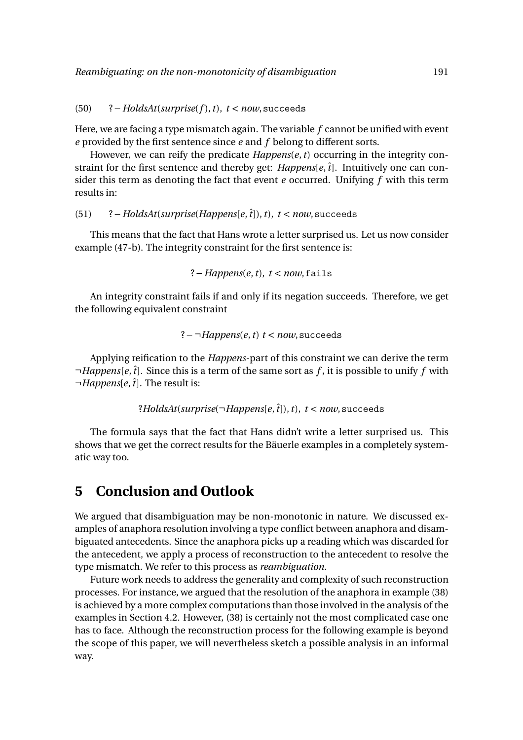#### (50) ?−*HoldsAt*(*surprise*(*f* ),*t*), *t* < *now*,succeeds

Here, we are facing a type mismatch again. The variable *f* cannot be unified with event *e* provided by the first sentence since *e* and *f* belong to different sorts.

However, we can reify the predicate *Happens*(*e*,*t*) occurring in the integrity constraint for the first sentence and thereby get: *Happens*[e,  $\hat{t}$ ]. Intuitively one can consider this term as denoting the fact that event *e* occurred. Unifying *f* with this term results in:

(51) ?−*HoldsAt*(*surprise*(*Happens*[*e*,*t*ˆ]),*t*), *t* < *now*,succeeds

This means that the fact that Hans wrote a letter surprised us. Let us now consider example (47-b). The integrity constraint for the first sentence is:

$$
? - Happens(e, t), t < now, fails
$$

An integrity constraint fails if and only if its negation succeeds. Therefore, we get the following equivalent constraint

$$
?
$$
  $\neg$  *Happens*(*e*, *t*) *t* < *now*, *succeeds*

Applying reification to the *Happens*-part of this constraint we can derive the term ¬*Happens*[*e*,*t*ˆ]. Since this is a term of the same sort as *f* , it is possible to unify *f* with  $\neg$ *Happens*[*e*,  $\hat{t}$ ]. The result is:

```
?HoldsAt(surprise(\negHappens[e,\hat{t}]),t), t < now, succeeds
```
The formula says that the fact that Hans didn't write a letter surprised us. This shows that we get the correct results for the Bäuerle examples in a completely systematic way too.

# **5 Conclusion and Outlook**

We argued that disambiguation may be non-monotonic in nature. We discussed examples of anaphora resolution involving a type conflict between anaphora and disambiguated antecedents. Since the anaphora picks up a reading which was discarded for the antecedent, we apply a process of reconstruction to the antecedent to resolve the type mismatch. We refer to this process as *reambiguation*.

Future work needs to address the generality and complexity of such reconstruction processes. For instance, we argued that the resolution of the anaphora in example (38) is achieved by a more complex computations than those involved in the analysis of the examples in Section 4.2. However, (38) is certainly not the most complicated case one has to face. Although the reconstruction process for the following example is beyond the scope of this paper, we will nevertheless sketch a possible analysis in an informal way.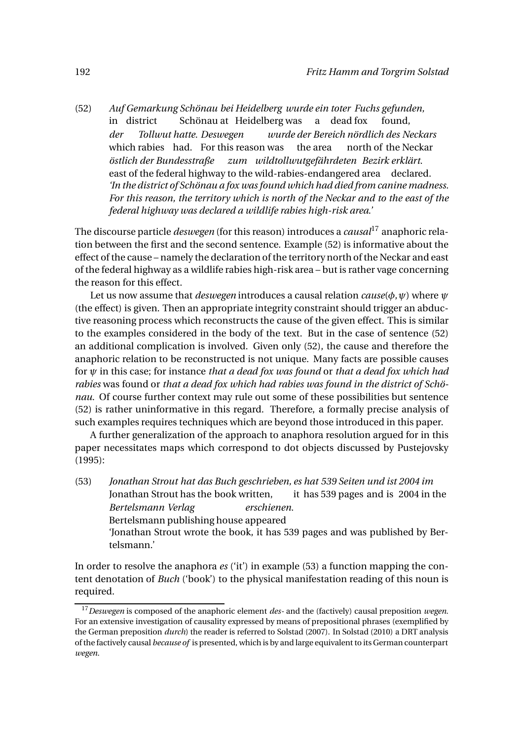$(52)$ in district *Gemarkung Schönau bei Heidelberg wurde ein toter Fuchs gefunden,* Schönau at Heidelberg was a dead fox found, *der* which rabies had. For this reason was *Tollwut hatte. Deswegen wurde der Bereich nördlich des Neckars* the area north of the Neckar *östlich der Bundesstraße* east of the federal highway to the wild-rabies-endangered area declared. *zum wildtollwutgefährdeten Bezirk erklärt. 'In the district of Schönau a fox was found which had died from canine madness. For this reason, the territory which is north of the Neckar and to the east of the federal highway was declared a wildlife rabies high-risk area.'*

The discourse particle *deswegen* (for this reason) introduces a *causal*<sup>17</sup> anaphoric relation between the first and the second sentence. Example (52) is informative about the effect of the cause – namely the declaration of the territory north of the Neckar and east of the federal highway as a wildlife rabies high-risk area – but is rather vage concerning the reason for this effect.

Let us now assume that *deswegen* introduces a causal relation *cause*(*φ*,*ψ*) where *ψ* (the effect) is given. Then an appropriate integrity constraint should trigger an abductive reasoning process which reconstructs the cause of the given effect. This is similar to the examples considered in the body of the text. But in the case of sentence (52) an additional complication is involved. Given only (52), the cause and therefore the anaphoric relation to be reconstructed is not unique. Many facts are possible causes for *ψ* in this case; for instance *that a dead fox was found* or *that a dead fox which had rabies* was found or *that a dead fox which had rabies was found in the district of Schönau*. Of course further context may rule out some of these possibilities but sentence (52) is rather uninformative in this regard. Therefore, a formally precise analysis of such examples requires techniques which are beyond those introduced in this paper.

A further generalization of the approach to anaphora resolution argued for in this paper necessitates maps which correspond to dot objects discussed by Pustejovsky (1995):

(53) *Jonathan Strout hat das Buch geschrieben, es hat 539 Seiten und ist 2004 im* Jonathan Strout has the book written, it has 539 pages and is 2004 in the *Bertelsmann Verlag* Bertelsmann publishing house appeared *erschienen.* 'Jonathan Strout wrote the book, it has 539 pages and was published by Bertelsmann.'

In order to resolve the anaphora *es* ('it') in example (53) a function mapping the content denotation of *Buch* ('book') to the physical manifestation reading of this noun is required.

<sup>17</sup>*Deswegen* is composed of the anaphoric element *des-* and the (factively) causal preposition *wegen*. For an extensive investigation of causality expressed by means of prepositional phrases (exemplified by the German preposition *durch*) the reader is referred to Solstad (2007). In Solstad (2010) a DRT analysis of the factively causal *because of* is presented, which is by and large equivalent to its German counterpart *wegen*.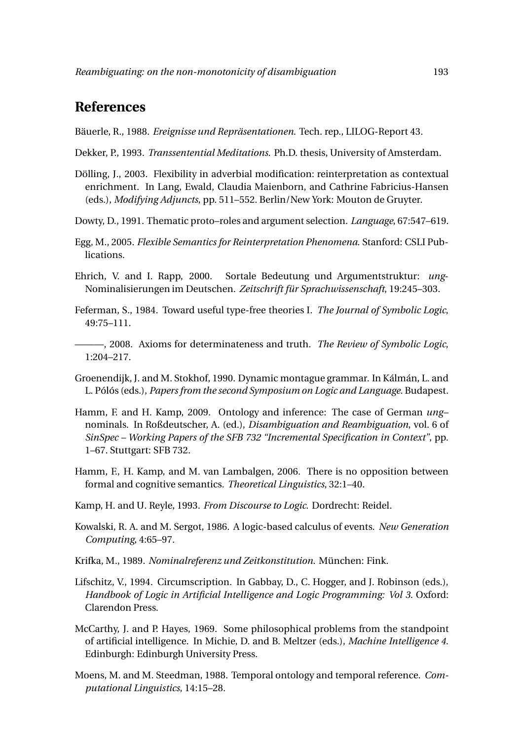# **References**

Bäuerle, R., 1988. *Ereignisse und Repräsentationen*. Tech. rep., LILOG-Report 43.

Dekker, P., 1993. *Transsentential Meditations*. Ph.D. thesis, University of Amsterdam.

- Dölling, J., 2003. Flexibility in adverbial modification: reinterpretation as contextual enrichment. In Lang, Ewald, Claudia Maienborn, and Cathrine Fabricius-Hansen (eds.), *Modifying Adjuncts*, pp. 511–552. Berlin/New York: Mouton de Gruyter.
- Dowty, D., 1991. Thematic proto–roles and argument selection. *Language*, 67:547–619.
- Egg, M., 2005. *Flexible Semantics for Reinterpretation Phenomena*. Stanford: CSLI Publications.
- Ehrich, V. and I. Rapp, 2000. Sortale Bedeutung und Argumentstruktur: *ung*-Nominalisierungen im Deutschen. *Zeitschrift für Sprachwissenschaft*, 19:245–303.
- Feferman, S., 1984. Toward useful type-free theories I. *The Journal of Symbolic Logic*, 49:75–111.

———, 2008. Axioms for determinateness and truth. *The Review of Symbolic Logic*, 1:204–217.

- Groenendijk, J. and M. Stokhof, 1990. Dynamic montague grammar. In Kálmán, L. and L. Pólós (eds.), *Papers from the second Symposium on Logic and Language*. Budapest.
- Hamm, F. and H. Kamp, 2009. Ontology and inference: The case of German *ung* nominals. In Roßdeutscher, A. (ed.), *Disambiguation and Reambiguation*, vol. 6 of *SinSpec – Working Papers of the SFB 732 "Incremental Specification in Context"*, pp. 1–67. Stuttgart: SFB 732.
- Hamm, F., H. Kamp, and M. van Lambalgen, 2006. There is no opposition between formal and cognitive semantics. *Theoretical Linguistics*, 32:1–40.
- Kamp, H. and U. Reyle, 1993. *From Discourse to Logic*. Dordrecht: Reidel.
- Kowalski, R. A. and M. Sergot, 1986. A logic-based calculus of events. *New Generation Computing*, 4:65–97.
- Krifka, M., 1989. *Nominalreferenz und Zeitkonstitution*. München: Fink.
- Lifschitz, V., 1994. Circumscription. In Gabbay, D., C. Hogger, and J. Robinson (eds.), *Handbook of Logic in Artificial Intelligence and Logic Programming: Vol 3*. Oxford: Clarendon Press.
- McCarthy, J. and P. Hayes, 1969. Some philosophical problems from the standpoint of artificial intelligence. In Michie, D. and B. Meltzer (eds.), *Machine Intelligence 4*. Edinburgh: Edinburgh University Press.
- Moens, M. and M. Steedman, 1988. Temporal ontology and temporal reference. *Computational Linguistics*, 14:15–28.